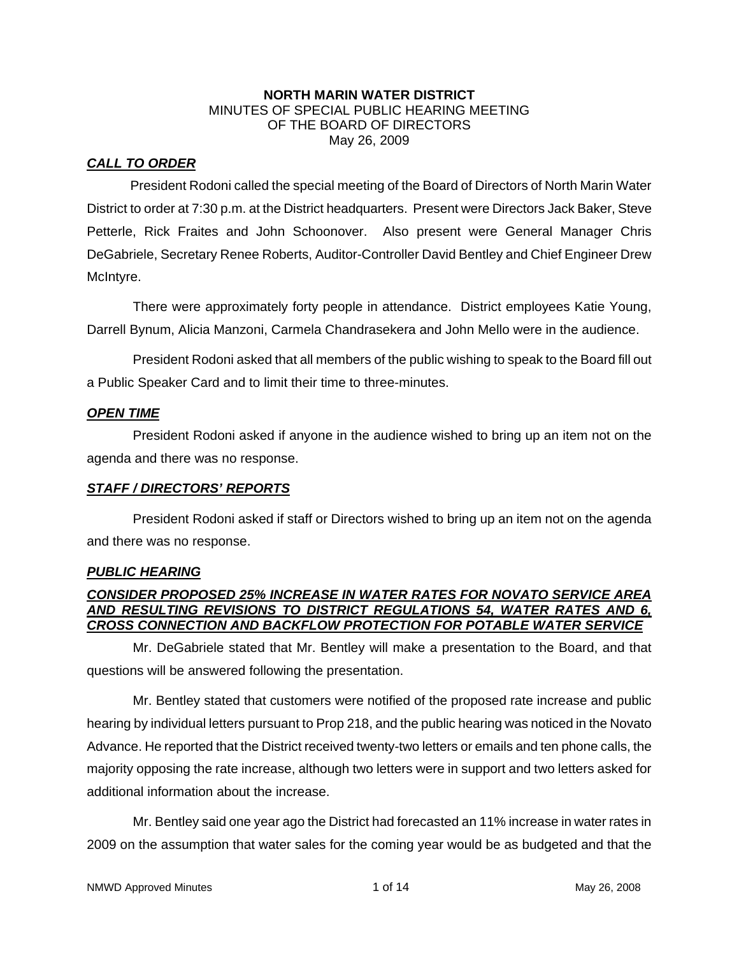#### **NORTH MARIN WATER DISTRICT**  MINUTES OF SPECIAL PUBLIC HEARING MEETING OF THE BOARD OF DIRECTORS May 26, 2009

# *CALL TO ORDER*

President Rodoni called the special meeting of the Board of Directors of North Marin Water District to order at 7:30 p.m. at the District headquarters. Present were Directors Jack Baker, Steve Petterle, Rick Fraites and John Schoonover. Also present were General Manager Chris DeGabriele, Secretary Renee Roberts, Auditor-Controller David Bentley and Chief Engineer Drew McIntyre.

There were approximately forty people in attendance. District employees Katie Young, Darrell Bynum, Alicia Manzoni, Carmela Chandrasekera and John Mello were in the audience.

President Rodoni asked that all members of the public wishing to speak to the Board fill out a Public Speaker Card and to limit their time to three-minutes.

### *OPEN TIME*

President Rodoni asked if anyone in the audience wished to bring up an item not on the agenda and there was no response.

### *STAFF / DIRECTORS' REPORTS*

President Rodoni asked if staff or Directors wished to bring up an item not on the agenda and there was no response.

### *PUBLIC HEARING*

### *CONSIDER PROPOSED 25% INCREASE IN WATER RATES FOR NOVATO SERVICE AREA AND RESULTING REVISIONS TO DISTRICT REGULATIONS 54, WATER RATES AND 6, CROSS CONNECTION AND BACKFLOW PROTECTION FOR POTABLE WATER SERVICE*

Mr. DeGabriele stated that Mr. Bentley will make a presentation to the Board, and that questions will be answered following the presentation.

Mr. Bentley stated that customers were notified of the proposed rate increase and public hearing by individual letters pursuant to Prop 218, and the public hearing was noticed in the Novato Advance. He reported that the District received twenty-two letters or emails and ten phone calls, the majority opposing the rate increase, although two letters were in support and two letters asked for additional information about the increase.

Mr. Bentley said one year ago the District had forecasted an 11% increase in water rates in 2009 on the assumption that water sales for the coming year would be as budgeted and that the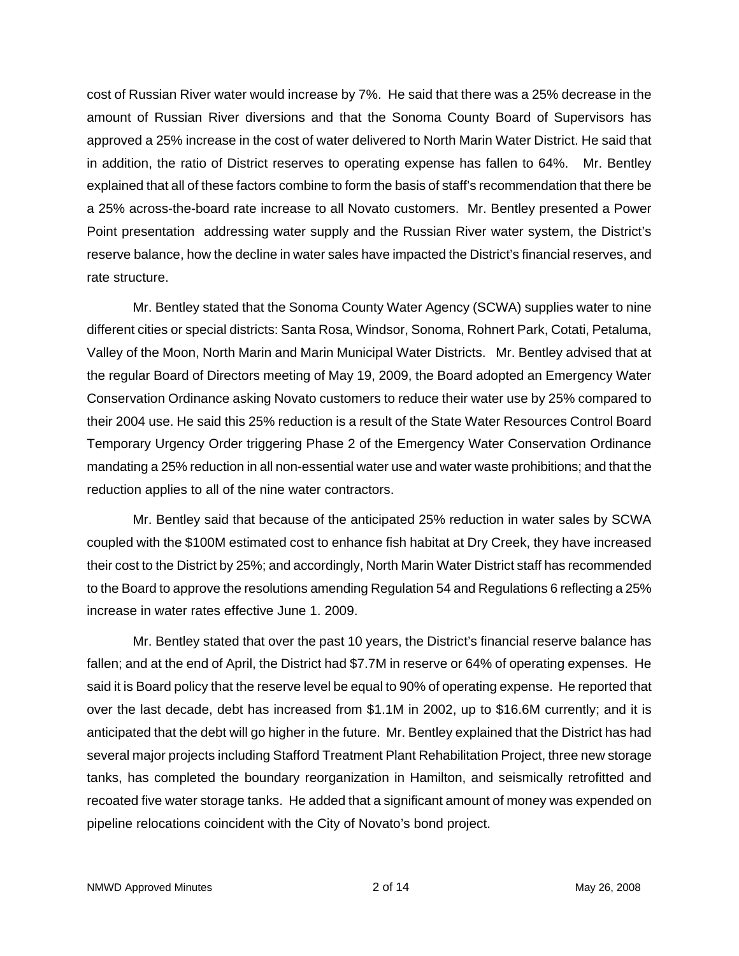cost of Russian River water would increase by 7%. He said that there was a 25% decrease in the amount of Russian River diversions and that the Sonoma County Board of Supervisors has approved a 25% increase in the cost of water delivered to North Marin Water District. He said that in addition, the ratio of District reserves to operating expense has fallen to 64%. Mr. Bentley explained that all of these factors combine to form the basis of staff's recommendation that there be a 25% across-the-board rate increase to all Novato customers. Mr. Bentley presented a Power Point presentation addressing water supply and the Russian River water system, the District's reserve balance, how the decline in water sales have impacted the District's financial reserves, and rate structure.

Mr. Bentley stated that the Sonoma County Water Agency (SCWA) supplies water to nine different cities or special districts: Santa Rosa, Windsor, Sonoma, Rohnert Park, Cotati, Petaluma, Valley of the Moon, North Marin and Marin Municipal Water Districts. Mr. Bentley advised that at the regular Board of Directors meeting of May 19, 2009, the Board adopted an Emergency Water Conservation Ordinance asking Novato customers to reduce their water use by 25% compared to their 2004 use. He said this 25% reduction is a result of the State Water Resources Control Board Temporary Urgency Order triggering Phase 2 of the Emergency Water Conservation Ordinance mandating a 25% reduction in all non-essential water use and water waste prohibitions; and that the reduction applies to all of the nine water contractors.

Mr. Bentley said that because of the anticipated 25% reduction in water sales by SCWA coupled with the \$100M estimated cost to enhance fish habitat at Dry Creek, they have increased their cost to the District by 25%; and accordingly, North Marin Water District staff has recommended to the Board to approve the resolutions amending Regulation 54 and Regulations 6 reflecting a 25% increase in water rates effective June 1. 2009.

Mr. Bentley stated that over the past 10 years, the District's financial reserve balance has fallen; and at the end of April, the District had \$7.7M in reserve or 64% of operating expenses. He said it is Board policy that the reserve level be equal to 90% of operating expense. He reported that over the last decade, debt has increased from \$1.1M in 2002, up to \$16.6M currently; and it is anticipated that the debt will go higher in the future. Mr. Bentley explained that the District has had several major projects including Stafford Treatment Plant Rehabilitation Project, three new storage tanks, has completed the boundary reorganization in Hamilton, and seismically retrofitted and recoated five water storage tanks. He added that a significant amount of money was expended on pipeline relocations coincident with the City of Novato's bond project.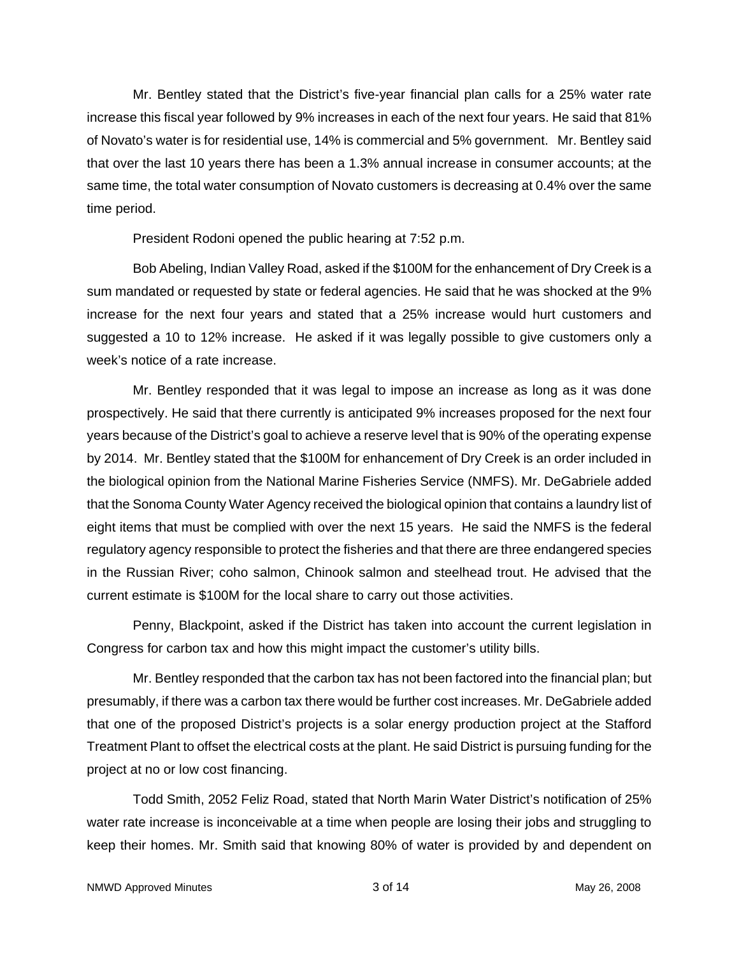Mr. Bentley stated that the District's five-year financial plan calls for a 25% water rate increase this fiscal year followed by 9% increases in each of the next four years. He said that 81% of Novato's water is for residential use, 14% is commercial and 5% government. Mr. Bentley said that over the last 10 years there has been a 1.3% annual increase in consumer accounts; at the same time, the total water consumption of Novato customers is decreasing at 0.4% over the same time period.

President Rodoni opened the public hearing at 7:52 p.m.

Bob Abeling, Indian Valley Road, asked if the \$100M for the enhancement of Dry Creek is a sum mandated or requested by state or federal agencies. He said that he was shocked at the 9% increase for the next four years and stated that a 25% increase would hurt customers and suggested a 10 to 12% increase. He asked if it was legally possible to give customers only a week's notice of a rate increase.

Mr. Bentley responded that it was legal to impose an increase as long as it was done prospectively. He said that there currently is anticipated 9% increases proposed for the next four years because of the District's goal to achieve a reserve level that is 90% of the operating expense by 2014. Mr. Bentley stated that the \$100M for enhancement of Dry Creek is an order included in the biological opinion from the National Marine Fisheries Service (NMFS). Mr. DeGabriele added that the Sonoma County Water Agency received the biological opinion that contains a laundry list of eight items that must be complied with over the next 15 years. He said the NMFS is the federal regulatory agency responsible to protect the fisheries and that there are three endangered species in the Russian River; coho salmon, Chinook salmon and steelhead trout. He advised that the current estimate is \$100M for the local share to carry out those activities.

Penny, Blackpoint, asked if the District has taken into account the current legislation in Congress for carbon tax and how this might impact the customer's utility bills.

Mr. Bentley responded that the carbon tax has not been factored into the financial plan; but presumably, if there was a carbon tax there would be further cost increases. Mr. DeGabriele added that one of the proposed District's projects is a solar energy production project at the Stafford Treatment Plant to offset the electrical costs at the plant. He said District is pursuing funding for the project at no or low cost financing.

Todd Smith, 2052 Feliz Road, stated that North Marin Water District's notification of 25% water rate increase is inconceivable at a time when people are losing their jobs and struggling to keep their homes. Mr. Smith said that knowing 80% of water is provided by and dependent on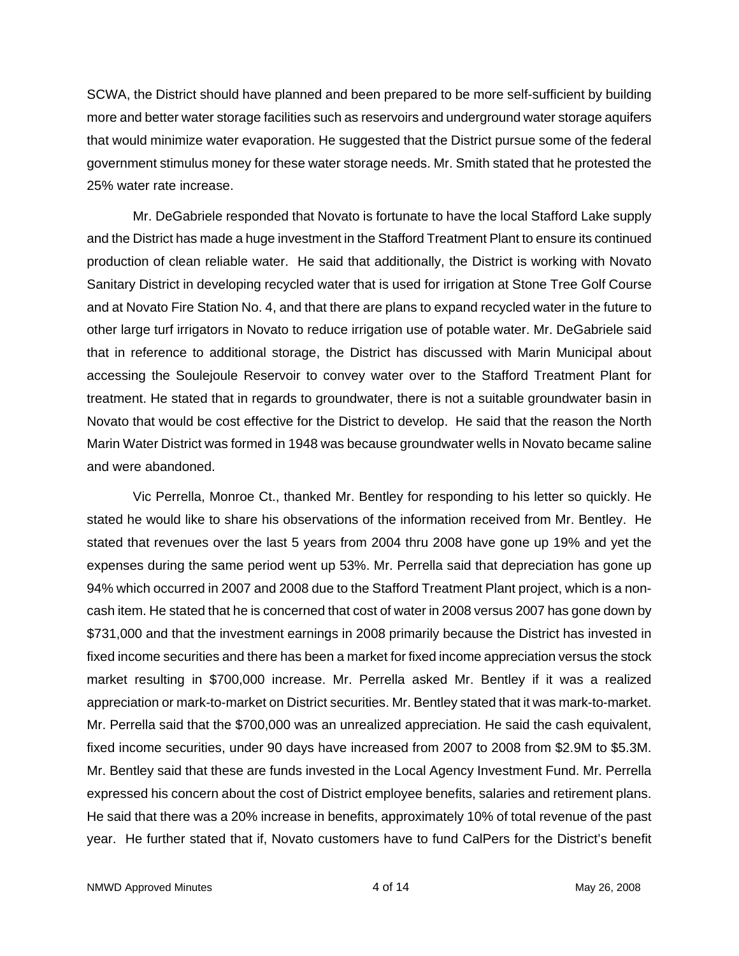SCWA, the District should have planned and been prepared to be more self-sufficient by building more and better water storage facilities such as reservoirs and underground water storage aquifers that would minimize water evaporation. He suggested that the District pursue some of the federal government stimulus money for these water storage needs. Mr. Smith stated that he protested the 25% water rate increase.

Mr. DeGabriele responded that Novato is fortunate to have the local Stafford Lake supply and the District has made a huge investment in the Stafford Treatment Plant to ensure its continued production of clean reliable water. He said that additionally, the District is working with Novato Sanitary District in developing recycled water that is used for irrigation at Stone Tree Golf Course and at Novato Fire Station No. 4, and that there are plans to expand recycled water in the future to other large turf irrigators in Novato to reduce irrigation use of potable water. Mr. DeGabriele said that in reference to additional storage, the District has discussed with Marin Municipal about accessing the Soulejoule Reservoir to convey water over to the Stafford Treatment Plant for treatment. He stated that in regards to groundwater, there is not a suitable groundwater basin in Novato that would be cost effective for the District to develop. He said that the reason the North Marin Water District was formed in 1948 was because groundwater wells in Novato became saline and were abandoned.

Vic Perrella, Monroe Ct., thanked Mr. Bentley for responding to his letter so quickly. He stated he would like to share his observations of the information received from Mr. Bentley. He stated that revenues over the last 5 years from 2004 thru 2008 have gone up 19% and yet the expenses during the same period went up 53%. Mr. Perrella said that depreciation has gone up 94% which occurred in 2007 and 2008 due to the Stafford Treatment Plant project, which is a noncash item. He stated that he is concerned that cost of water in 2008 versus 2007 has gone down by \$731,000 and that the investment earnings in 2008 primarily because the District has invested in fixed income securities and there has been a market for fixed income appreciation versus the stock market resulting in \$700,000 increase. Mr. Perrella asked Mr. Bentley if it was a realized appreciation or mark-to-market on District securities. Mr. Bentley stated that it was mark-to-market. Mr. Perrella said that the \$700,000 was an unrealized appreciation. He said the cash equivalent, fixed income securities, under 90 days have increased from 2007 to 2008 from \$2.9M to \$5.3M. Mr. Bentley said that these are funds invested in the Local Agency Investment Fund. Mr. Perrella expressed his concern about the cost of District employee benefits, salaries and retirement plans. He said that there was a 20% increase in benefits, approximately 10% of total revenue of the past year. He further stated that if, Novato customers have to fund CalPers for the District's benefit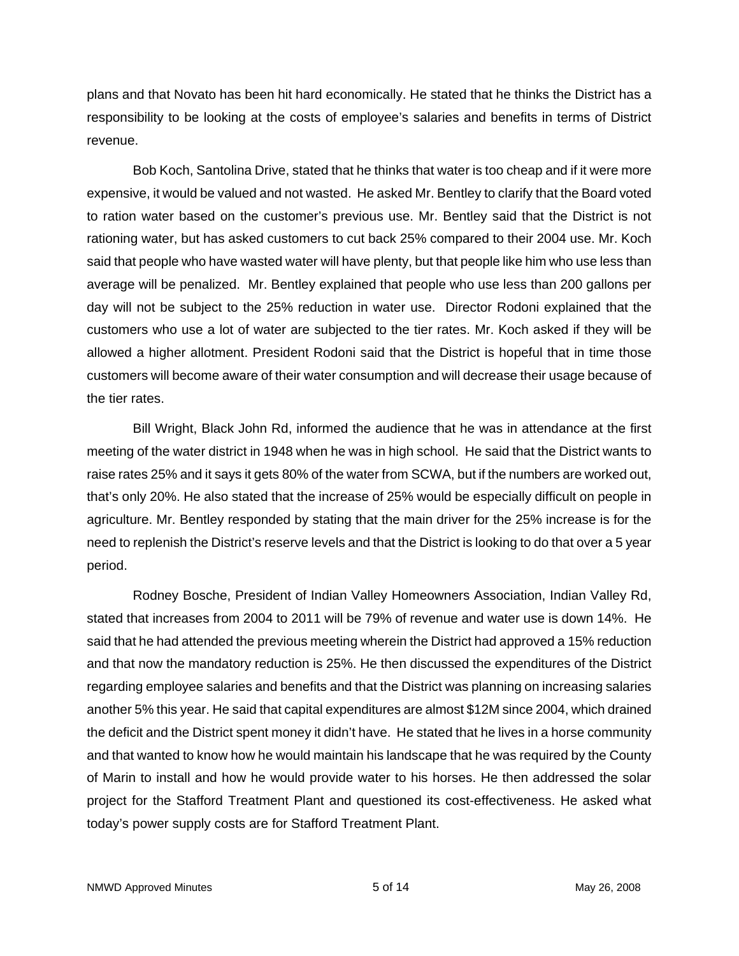plans and that Novato has been hit hard economically. He stated that he thinks the District has a responsibility to be looking at the costs of employee's salaries and benefits in terms of District revenue.

Bob Koch, Santolina Drive, stated that he thinks that water is too cheap and if it were more expensive, it would be valued and not wasted. He asked Mr. Bentley to clarify that the Board voted to ration water based on the customer's previous use. Mr. Bentley said that the District is not rationing water, but has asked customers to cut back 25% compared to their 2004 use. Mr. Koch said that people who have wasted water will have plenty, but that people like him who use less than average will be penalized. Mr. Bentley explained that people who use less than 200 gallons per day will not be subject to the 25% reduction in water use. Director Rodoni explained that the customers who use a lot of water are subjected to the tier rates. Mr. Koch asked if they will be allowed a higher allotment. President Rodoni said that the District is hopeful that in time those customers will become aware of their water consumption and will decrease their usage because of the tier rates.

Bill Wright, Black John Rd, informed the audience that he was in attendance at the first meeting of the water district in 1948 when he was in high school. He said that the District wants to raise rates 25% and it says it gets 80% of the water from SCWA, but if the numbers are worked out, that's only 20%. He also stated that the increase of 25% would be especially difficult on people in agriculture. Mr. Bentley responded by stating that the main driver for the 25% increase is for the need to replenish the District's reserve levels and that the District is looking to do that over a 5 year period.

Rodney Bosche, President of Indian Valley Homeowners Association, Indian Valley Rd, stated that increases from 2004 to 2011 will be 79% of revenue and water use is down 14%. He said that he had attended the previous meeting wherein the District had approved a 15% reduction and that now the mandatory reduction is 25%. He then discussed the expenditures of the District regarding employee salaries and benefits and that the District was planning on increasing salaries another 5% this year. He said that capital expenditures are almost \$12M since 2004, which drained the deficit and the District spent money it didn't have. He stated that he lives in a horse community and that wanted to know how he would maintain his landscape that he was required by the County of Marin to install and how he would provide water to his horses. He then addressed the solar project for the Stafford Treatment Plant and questioned its cost-effectiveness. He asked what today's power supply costs are for Stafford Treatment Plant.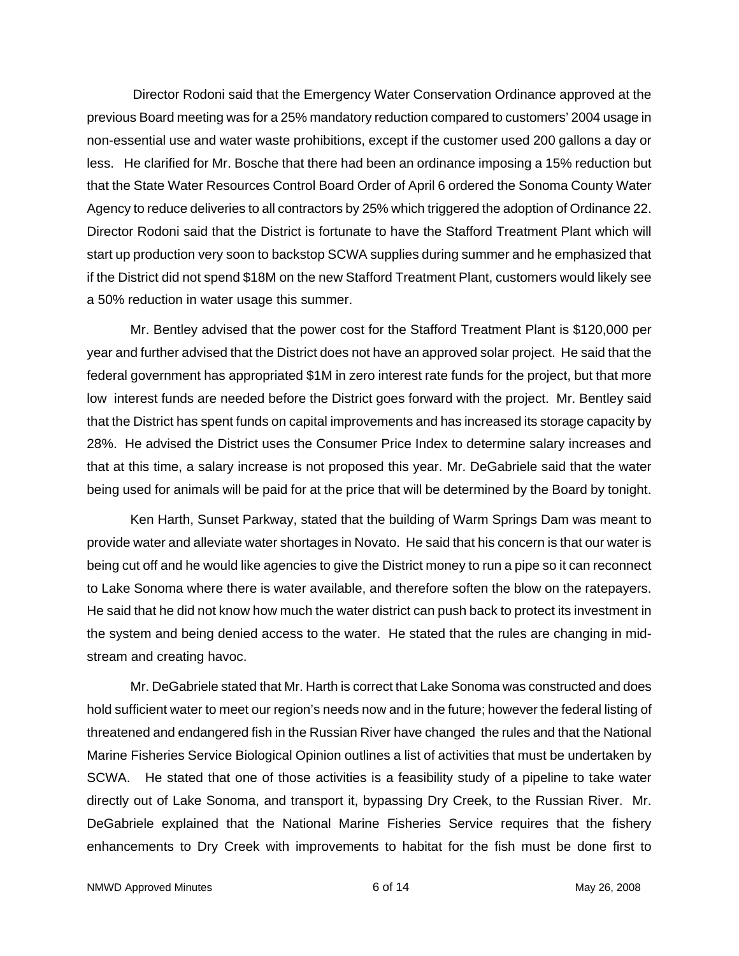Director Rodoni said that the Emergency Water Conservation Ordinance approved at the previous Board meeting was for a 25% mandatory reduction compared to customers' 2004 usage in non-essential use and water waste prohibitions, except if the customer used 200 gallons a day or less. He clarified for Mr. Bosche that there had been an ordinance imposing a 15% reduction but that the State Water Resources Control Board Order of April 6 ordered the Sonoma County Water Agency to reduce deliveries to all contractors by 25% which triggered the adoption of Ordinance 22. Director Rodoni said that the District is fortunate to have the Stafford Treatment Plant which will start up production very soon to backstop SCWA supplies during summer and he emphasized that if the District did not spend \$18M on the new Stafford Treatment Plant, customers would likely see a 50% reduction in water usage this summer.

 Mr. Bentley advised that the power cost for the Stafford Treatment Plant is \$120,000 per year and further advised that the District does not have an approved solar project. He said that the federal government has appropriated \$1M in zero interest rate funds for the project, but that more low interest funds are needed before the District goes forward with the project. Mr. Bentley said that the District has spent funds on capital improvements and has increased its storage capacity by 28%. He advised the District uses the Consumer Price Index to determine salary increases and that at this time, a salary increase is not proposed this year. Mr. DeGabriele said that the water being used for animals will be paid for at the price that will be determined by the Board by tonight.

 Ken Harth, Sunset Parkway, stated that the building of Warm Springs Dam was meant to provide water and alleviate water shortages in Novato. He said that his concern is that our water is being cut off and he would like agencies to give the District money to run a pipe so it can reconnect to Lake Sonoma where there is water available, and therefore soften the blow on the ratepayers. He said that he did not know how much the water district can push back to protect its investment in the system and being denied access to the water. He stated that the rules are changing in midstream and creating havoc.

 Mr. DeGabriele stated that Mr. Harth is correct that Lake Sonoma was constructed and does hold sufficient water to meet our region's needs now and in the future; however the federal listing of threatened and endangered fish in the Russian River have changed the rules and that the National Marine Fisheries Service Biological Opinion outlines a list of activities that must be undertaken by SCWA. He stated that one of those activities is a feasibility study of a pipeline to take water directly out of Lake Sonoma, and transport it, bypassing Dry Creek, to the Russian River. Mr. DeGabriele explained that the National Marine Fisheries Service requires that the fishery enhancements to Dry Creek with improvements to habitat for the fish must be done first to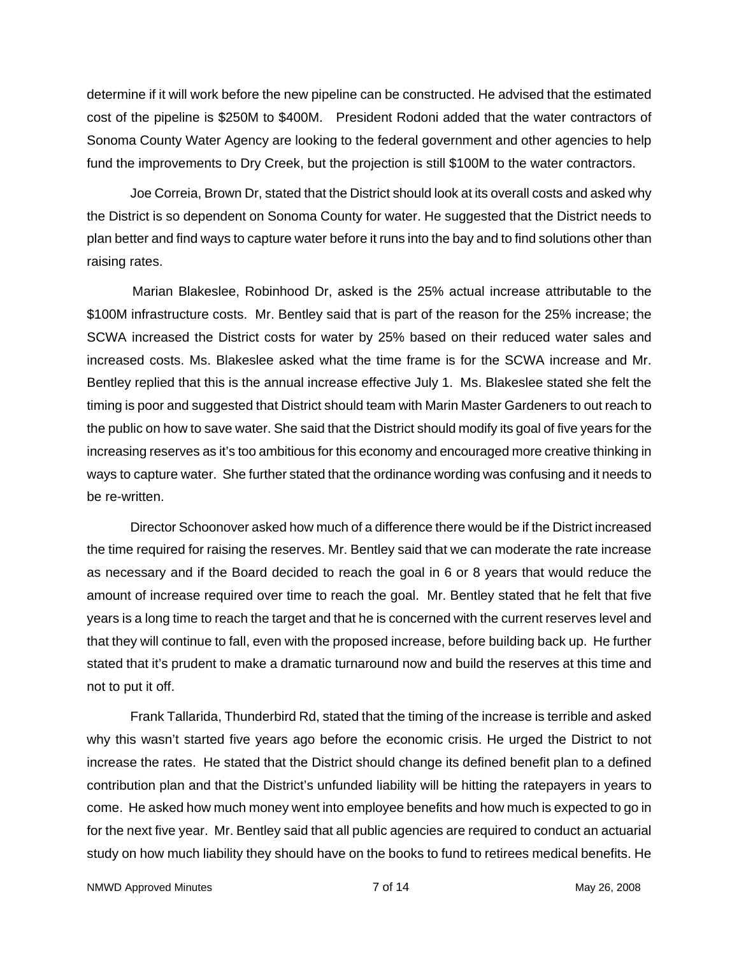determine if it will work before the new pipeline can be constructed. He advised that the estimated cost of the pipeline is \$250M to \$400M. President Rodoni added that the water contractors of Sonoma County Water Agency are looking to the federal government and other agencies to help fund the improvements to Dry Creek, but the projection is still \$100M to the water contractors.

 Joe Correia, Brown Dr, stated that the District should look at its overall costs and asked why the District is so dependent on Sonoma County for water. He suggested that the District needs to plan better and find ways to capture water before it runs into the bay and to find solutions other than raising rates.

 Marian Blakeslee, Robinhood Dr, asked is the 25% actual increase attributable to the \$100M infrastructure costs. Mr. Bentley said that is part of the reason for the 25% increase; the SCWA increased the District costs for water by 25% based on their reduced water sales and increased costs. Ms. Blakeslee asked what the time frame is for the SCWA increase and Mr. Bentley replied that this is the annual increase effective July 1. Ms. Blakeslee stated she felt the timing is poor and suggested that District should team with Marin Master Gardeners to out reach to the public on how to save water. She said that the District should modify its goal of five years for the increasing reserves as it's too ambitious for this economy and encouraged more creative thinking in ways to capture water. She further stated that the ordinance wording was confusing and it needs to be re-written.

 Director Schoonover asked how much of a difference there would be if the District increased the time required for raising the reserves. Mr. Bentley said that we can moderate the rate increase as necessary and if the Board decided to reach the goal in 6 or 8 years that would reduce the amount of increase required over time to reach the goal. Mr. Bentley stated that he felt that five years is a long time to reach the target and that he is concerned with the current reserves level and that they will continue to fall, even with the proposed increase, before building back up. He further stated that it's prudent to make a dramatic turnaround now and build the reserves at this time and not to put it off.

 Frank Tallarida, Thunderbird Rd, stated that the timing of the increase is terrible and asked why this wasn't started five years ago before the economic crisis. He urged the District to not increase the rates. He stated that the District should change its defined benefit plan to a defined contribution plan and that the District's unfunded liability will be hitting the ratepayers in years to come. He asked how much money went into employee benefits and how much is expected to go in for the next five year. Mr. Bentley said that all public agencies are required to conduct an actuarial study on how much liability they should have on the books to fund to retirees medical benefits. He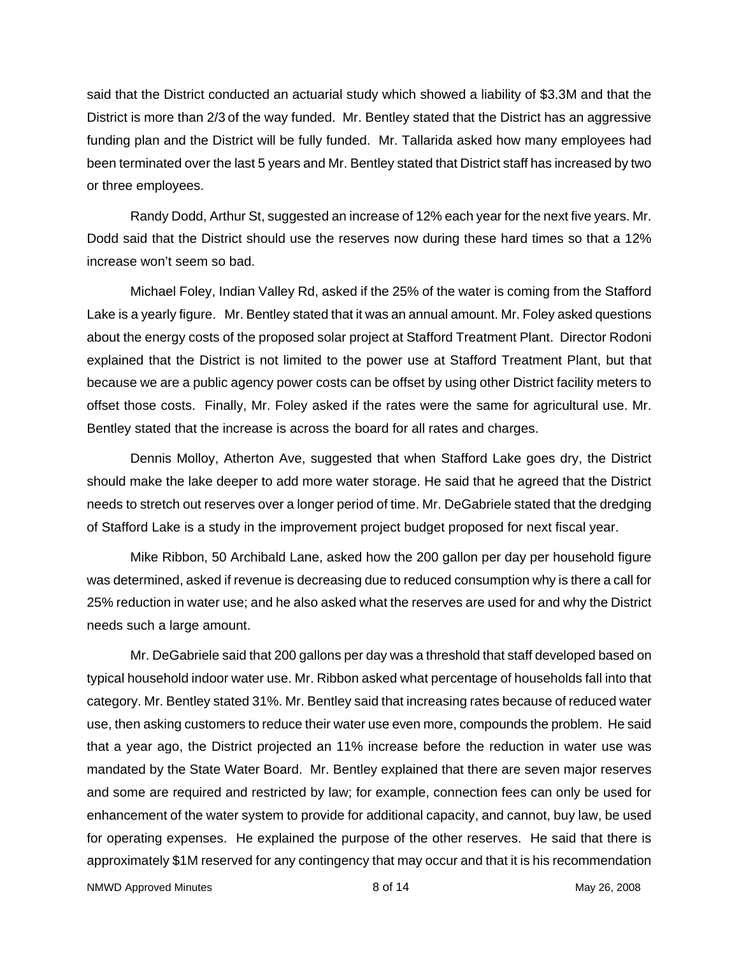said that the District conducted an actuarial study which showed a liability of \$3.3M and that the District is more than 2/3 of the way funded. Mr. Bentley stated that the District has an aggressive funding plan and the District will be fully funded. Mr. Tallarida asked how many employees had been terminated over the last 5 years and Mr. Bentley stated that District staff has increased by two or three employees.

 Randy Dodd, Arthur St, suggested an increase of 12% each year for the next five years. Mr. Dodd said that the District should use the reserves now during these hard times so that a 12% increase won't seem so bad.

 Michael Foley, Indian Valley Rd, asked if the 25% of the water is coming from the Stafford Lake is a yearly figure. Mr. Bentley stated that it was an annual amount. Mr. Foley asked questions about the energy costs of the proposed solar project at Stafford Treatment Plant. Director Rodoni explained that the District is not limited to the power use at Stafford Treatment Plant, but that because we are a public agency power costs can be offset by using other District facility meters to offset those costs. Finally, Mr. Foley asked if the rates were the same for agricultural use. Mr. Bentley stated that the increase is across the board for all rates and charges.

 Dennis Molloy, Atherton Ave, suggested that when Stafford Lake goes dry, the District should make the lake deeper to add more water storage. He said that he agreed that the District needs to stretch out reserves over a longer period of time. Mr. DeGabriele stated that the dredging of Stafford Lake is a study in the improvement project budget proposed for next fiscal year.

 Mike Ribbon, 50 Archibald Lane, asked how the 200 gallon per day per household figure was determined, asked if revenue is decreasing due to reduced consumption why is there a call for 25% reduction in water use; and he also asked what the reserves are used for and why the District needs such a large amount.

 Mr. DeGabriele said that 200 gallons per day was a threshold that staff developed based on typical household indoor water use. Mr. Ribbon asked what percentage of households fall into that category. Mr. Bentley stated 31%. Mr. Bentley said that increasing rates because of reduced water use, then asking customers to reduce their water use even more, compounds the problem. He said that a year ago, the District projected an 11% increase before the reduction in water use was mandated by the State Water Board. Mr. Bentley explained that there are seven major reserves and some are required and restricted by law; for example, connection fees can only be used for enhancement of the water system to provide for additional capacity, and cannot, buy law, be used for operating expenses. He explained the purpose of the other reserves. He said that there is approximately \$1M reserved for any contingency that may occur and that it is his recommendation

NMWD Approved Minutes and the set of the set of the set of the set of the set of the set of the set of the set of the set of the set of the set of the set of the set of the set of the set of the set of the set of the set o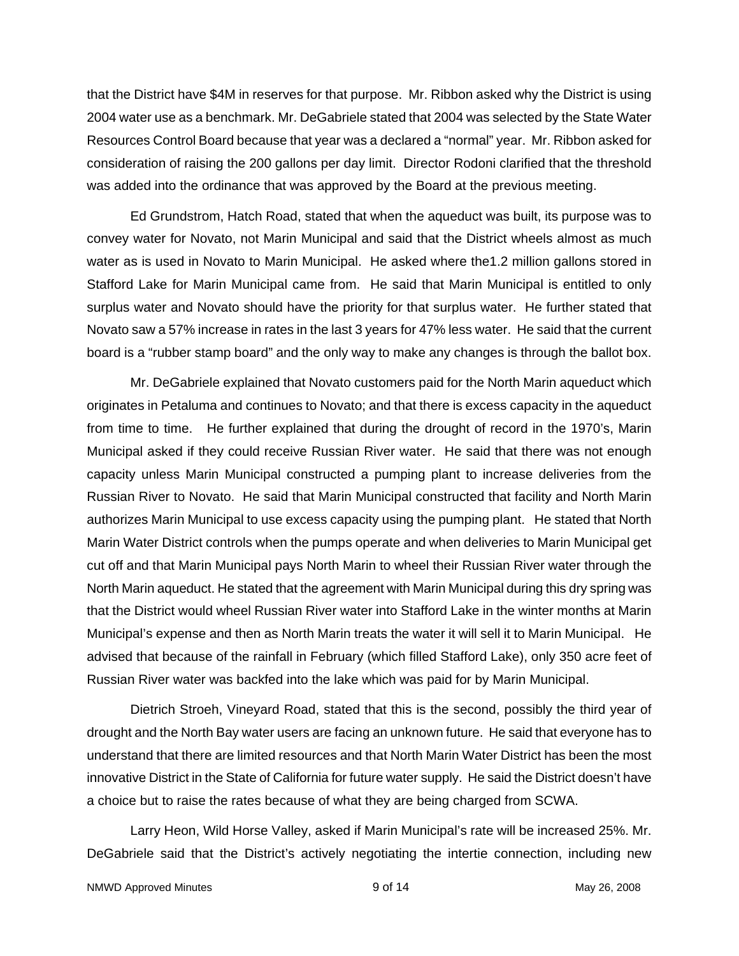that the District have \$4M in reserves for that purpose. Mr. Ribbon asked why the District is using 2004 water use as a benchmark. Mr. DeGabriele stated that 2004 was selected by the State Water Resources Control Board because that year was a declared a "normal" year. Mr. Ribbon asked for consideration of raising the 200 gallons per day limit. Director Rodoni clarified that the threshold was added into the ordinance that was approved by the Board at the previous meeting.

 Ed Grundstrom, Hatch Road, stated that when the aqueduct was built, its purpose was to convey water for Novato, not Marin Municipal and said that the District wheels almost as much water as is used in Novato to Marin Municipal. He asked where the1.2 million gallons stored in Stafford Lake for Marin Municipal came from. He said that Marin Municipal is entitled to only surplus water and Novato should have the priority for that surplus water. He further stated that Novato saw a 57% increase in rates in the last 3 years for 47% less water. He said that the current board is a "rubber stamp board" and the only way to make any changes is through the ballot box.

 Mr. DeGabriele explained that Novato customers paid for the North Marin aqueduct which originates in Petaluma and continues to Novato; and that there is excess capacity in the aqueduct from time to time. He further explained that during the drought of record in the 1970's, Marin Municipal asked if they could receive Russian River water. He said that there was not enough capacity unless Marin Municipal constructed a pumping plant to increase deliveries from the Russian River to Novato. He said that Marin Municipal constructed that facility and North Marin authorizes Marin Municipal to use excess capacity using the pumping plant. He stated that North Marin Water District controls when the pumps operate and when deliveries to Marin Municipal get cut off and that Marin Municipal pays North Marin to wheel their Russian River water through the North Marin aqueduct. He stated that the agreement with Marin Municipal during this dry spring was that the District would wheel Russian River water into Stafford Lake in the winter months at Marin Municipal's expense and then as North Marin treats the water it will sell it to Marin Municipal. He advised that because of the rainfall in February (which filled Stafford Lake), only 350 acre feet of Russian River water was backfed into the lake which was paid for by Marin Municipal.

 Dietrich Stroeh, Vineyard Road, stated that this is the second, possibly the third year of drought and the North Bay water users are facing an unknown future. He said that everyone has to understand that there are limited resources and that North Marin Water District has been the most innovative District in the State of California for future water supply. He said the District doesn't have a choice but to raise the rates because of what they are being charged from SCWA.

 Larry Heon, Wild Horse Valley, asked if Marin Municipal's rate will be increased 25%. Mr. DeGabriele said that the District's actively negotiating the intertie connection, including new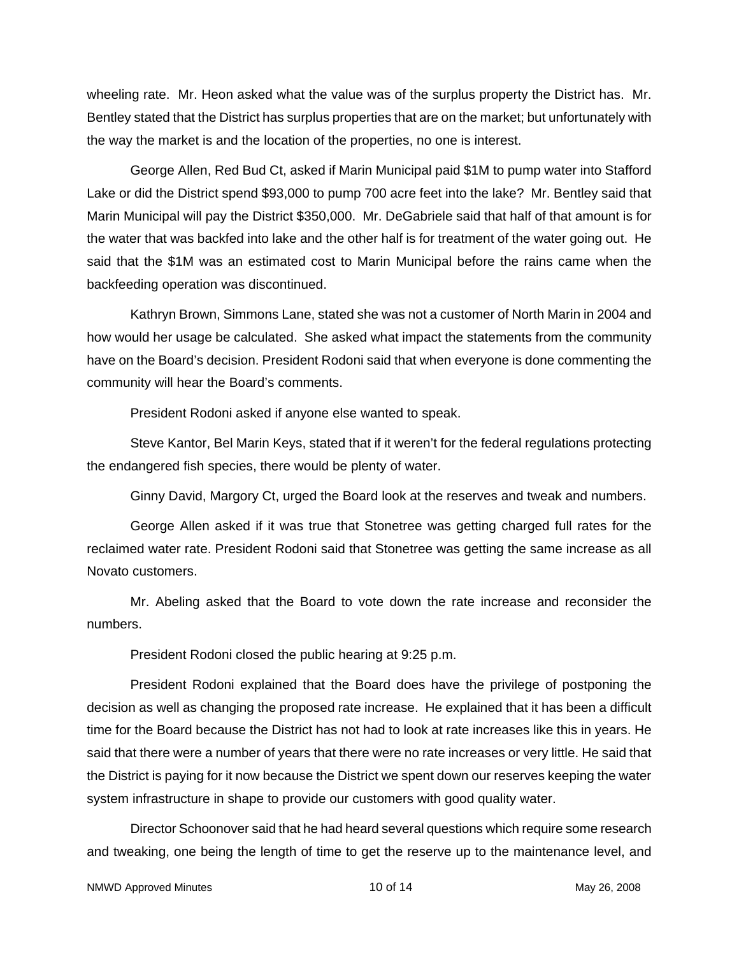wheeling rate. Mr. Heon asked what the value was of the surplus property the District has. Mr. Bentley stated that the District has surplus properties that are on the market; but unfortunately with the way the market is and the location of the properties, no one is interest.

 George Allen, Red Bud Ct, asked if Marin Municipal paid \$1M to pump water into Stafford Lake or did the District spend \$93,000 to pump 700 acre feet into the lake? Mr. Bentley said that Marin Municipal will pay the District \$350,000. Mr. DeGabriele said that half of that amount is for the water that was backfed into lake and the other half is for treatment of the water going out. He said that the \$1M was an estimated cost to Marin Municipal before the rains came when the backfeeding operation was discontinued.

 Kathryn Brown, Simmons Lane, stated she was not a customer of North Marin in 2004 and how would her usage be calculated. She asked what impact the statements from the community have on the Board's decision. President Rodoni said that when everyone is done commenting the community will hear the Board's comments.

President Rodoni asked if anyone else wanted to speak.

 Steve Kantor, Bel Marin Keys, stated that if it weren't for the federal regulations protecting the endangered fish species, there would be plenty of water.

Ginny David, Margory Ct, urged the Board look at the reserves and tweak and numbers.

 George Allen asked if it was true that Stonetree was getting charged full rates for the reclaimed water rate. President Rodoni said that Stonetree was getting the same increase as all Novato customers.

 Mr. Abeling asked that the Board to vote down the rate increase and reconsider the numbers.

President Rodoni closed the public hearing at 9:25 p.m.

 President Rodoni explained that the Board does have the privilege of postponing the decision as well as changing the proposed rate increase. He explained that it has been a difficult time for the Board because the District has not had to look at rate increases like this in years. He said that there were a number of years that there were no rate increases or very little. He said that the District is paying for it now because the District we spent down our reserves keeping the water system infrastructure in shape to provide our customers with good quality water.

 Director Schoonover said that he had heard several questions which require some research and tweaking, one being the length of time to get the reserve up to the maintenance level, and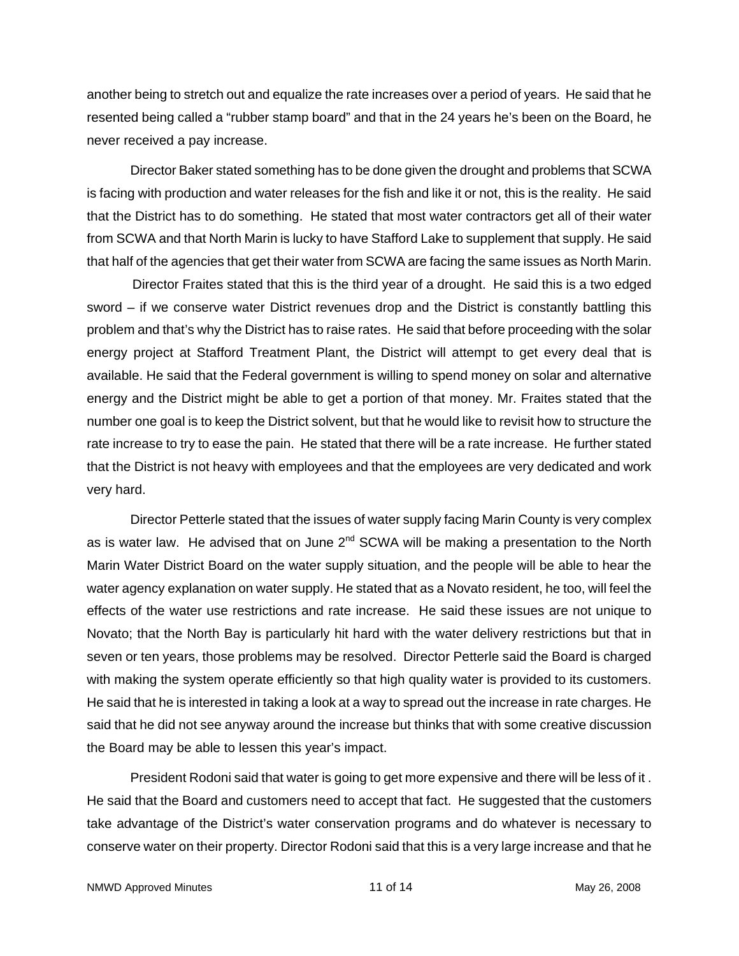another being to stretch out and equalize the rate increases over a period of years. He said that he resented being called a "rubber stamp board" and that in the 24 years he's been on the Board, he never received a pay increase.

 Director Baker stated something has to be done given the drought and problems that SCWA is facing with production and water releases for the fish and like it or not, this is the reality. He said that the District has to do something. He stated that most water contractors get all of their water from SCWA and that North Marin is lucky to have Stafford Lake to supplement that supply. He said that half of the agencies that get their water from SCWA are facing the same issues as North Marin.

 Director Fraites stated that this is the third year of a drought. He said this is a two edged sword – if we conserve water District revenues drop and the District is constantly battling this problem and that's why the District has to raise rates. He said that before proceeding with the solar energy project at Stafford Treatment Plant, the District will attempt to get every deal that is available. He said that the Federal government is willing to spend money on solar and alternative energy and the District might be able to get a portion of that money. Mr. Fraites stated that the number one goal is to keep the District solvent, but that he would like to revisit how to structure the rate increase to try to ease the pain. He stated that there will be a rate increase. He further stated that the District is not heavy with employees and that the employees are very dedicated and work very hard.

 Director Petterle stated that the issues of water supply facing Marin County is very complex as is water law. He advised that on June  $2^{nd}$  SCWA will be making a presentation to the North Marin Water District Board on the water supply situation, and the people will be able to hear the water agency explanation on water supply. He stated that as a Novato resident, he too, will feel the effects of the water use restrictions and rate increase. He said these issues are not unique to Novato; that the North Bay is particularly hit hard with the water delivery restrictions but that in seven or ten years, those problems may be resolved. Director Petterle said the Board is charged with making the system operate efficiently so that high quality water is provided to its customers. He said that he is interested in taking a look at a way to spread out the increase in rate charges. He said that he did not see anyway around the increase but thinks that with some creative discussion the Board may be able to lessen this year's impact.

 President Rodoni said that water is going to get more expensive and there will be less of it . He said that the Board and customers need to accept that fact. He suggested that the customers take advantage of the District's water conservation programs and do whatever is necessary to conserve water on their property. Director Rodoni said that this is a very large increase and that he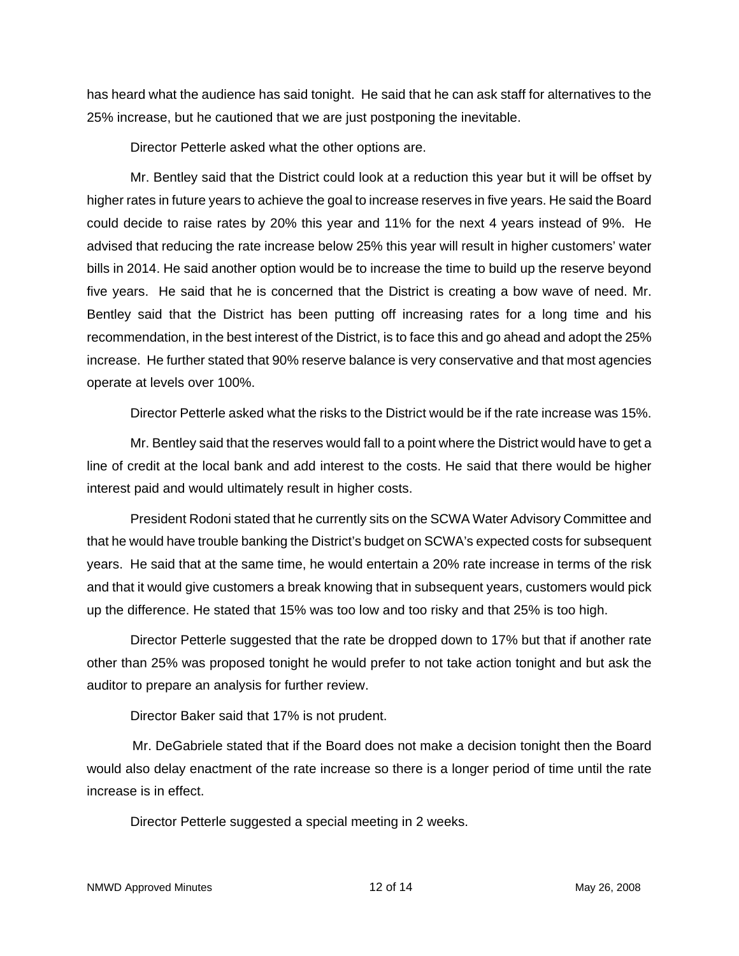has heard what the audience has said tonight. He said that he can ask staff for alternatives to the 25% increase, but he cautioned that we are just postponing the inevitable.

Director Petterle asked what the other options are.

 Mr. Bentley said that the District could look at a reduction this year but it will be offset by higher rates in future years to achieve the goal to increase reserves in five years. He said the Board could decide to raise rates by 20% this year and 11% for the next 4 years instead of 9%. He advised that reducing the rate increase below 25% this year will result in higher customers' water bills in 2014. He said another option would be to increase the time to build up the reserve beyond five years. He said that he is concerned that the District is creating a bow wave of need. Mr. Bentley said that the District has been putting off increasing rates for a long time and his recommendation, in the best interest of the District, is to face this and go ahead and adopt the 25% increase. He further stated that 90% reserve balance is very conservative and that most agencies operate at levels over 100%.

Director Petterle asked what the risks to the District would be if the rate increase was 15%.

 Mr. Bentley said that the reserves would fall to a point where the District would have to get a line of credit at the local bank and add interest to the costs. He said that there would be higher interest paid and would ultimately result in higher costs.

 President Rodoni stated that he currently sits on the SCWA Water Advisory Committee and that he would have trouble banking the District's budget on SCWA's expected costs for subsequent years. He said that at the same time, he would entertain a 20% rate increase in terms of the risk and that it would give customers a break knowing that in subsequent years, customers would pick up the difference. He stated that 15% was too low and too risky and that 25% is too high.

 Director Petterle suggested that the rate be dropped down to 17% but that if another rate other than 25% was proposed tonight he would prefer to not take action tonight and but ask the auditor to prepare an analysis for further review.

Director Baker said that 17% is not prudent.

 Mr. DeGabriele stated that if the Board does not make a decision tonight then the Board would also delay enactment of the rate increase so there is a longer period of time until the rate increase is in effect.

Director Petterle suggested a special meeting in 2 weeks.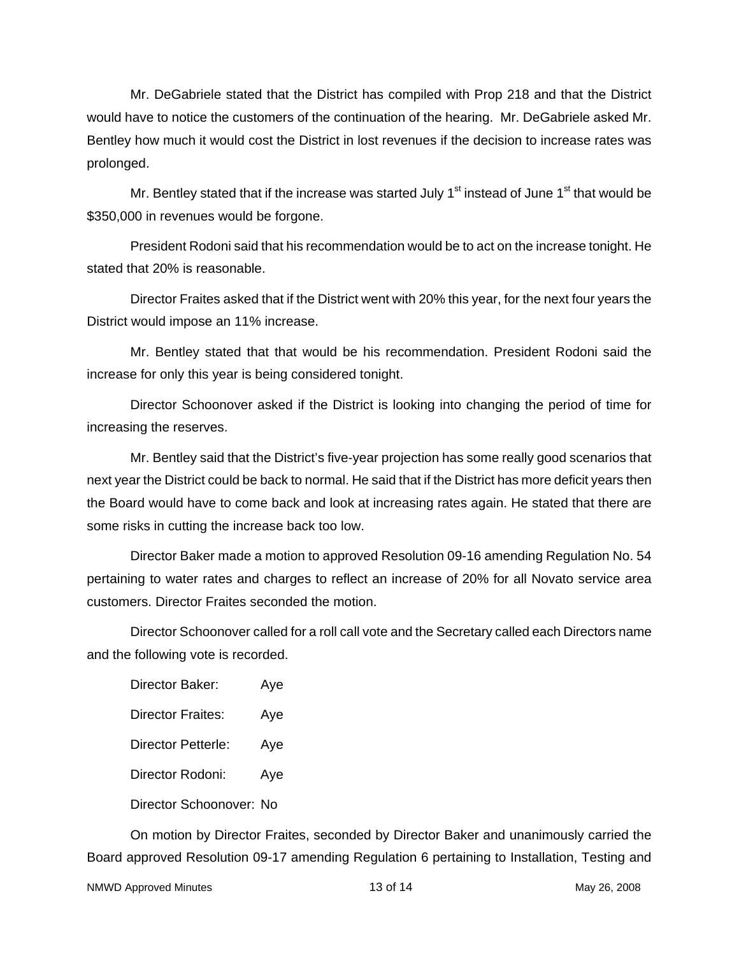Mr. DeGabriele stated that the District has compiled with Prop 218 and that the District would have to notice the customers of the continuation of the hearing. Mr. DeGabriele asked Mr. Bentley how much it would cost the District in lost revenues if the decision to increase rates was prolonged.

Mr. Bentley stated that if the increase was started July  $1<sup>st</sup>$  instead of June  $1<sup>st</sup>$  that would be \$350,000 in revenues would be forgone.

 President Rodoni said that his recommendation would be to act on the increase tonight. He stated that 20% is reasonable.

 Director Fraites asked that if the District went with 20% this year, for the next four years the District would impose an 11% increase.

Mr. Bentley stated that that would be his recommendation. President Rodoni said the increase for only this year is being considered tonight.

 Director Schoonover asked if the District is looking into changing the period of time for increasing the reserves.

 Mr. Bentley said that the District's five-year projection has some really good scenarios that next year the District could be back to normal. He said that if the District has more deficit years then the Board would have to come back and look at increasing rates again. He stated that there are some risks in cutting the increase back too low.

 Director Baker made a motion to approved Resolution 09-16 amending Regulation No. 54 pertaining to water rates and charges to reflect an increase of 20% for all Novato service area customers. Director Fraites seconded the motion.

 Director Schoonover called for a roll call vote and the Secretary called each Directors name and the following vote is recorded.

Director Baker: Aye Director Fraites: Aye Director Petterle: Aye Director Rodoni: Aye Director Schoonover: No

 On motion by Director Fraites, seconded by Director Baker and unanimously carried the Board approved Resolution 09-17 amending Regulation 6 pertaining to Installation, Testing and

NMWD Approved Minutes 13 of 14 May 26, 2008